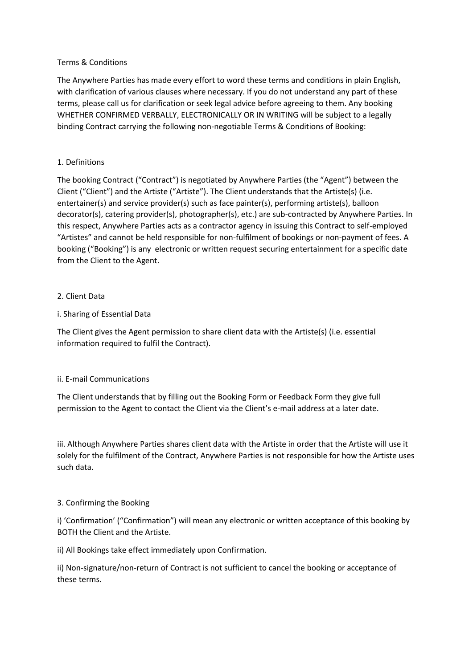## Terms & Conditions

The Anywhere Parties has made every effort to word these terms and conditions in plain English, with clarification of various clauses where necessary. If you do not understand any part of these terms, please call us for clarification or seek legal advice before agreeing to them. Any booking WHETHER CONFIRMED VERBALLY, ELECTRONICALLY OR IN WRITING will be subject to a legally binding Contract carrying the following non-negotiable Terms & Conditions of Booking:

## 1. Definitions

The booking Contract ("Contract") is negotiated by Anywhere Parties (the "Agent") between the Client ("Client") and the Artiste ("Artiste"). The Client understands that the Artiste(s) (i.e. entertainer(s) and service provider(s) such as face painter(s), performing artiste(s), balloon decorator(s), catering provider(s), photographer(s), etc.) are sub-contracted by Anywhere Parties. In this respect, Anywhere Parties acts as a contractor agency in issuing this Contract to self-employed "Artistes" and cannot be held responsible for non-fulfilment of bookings or non-payment of fees. A booking ("Booking") is any electronic or written request securing entertainment for a specific date from the Client to the Agent.

## 2. Client Data

## i. Sharing of Essential Data

The Client gives the Agent permission to share client data with the Artiste(s) (i.e. essential information required to fulfil the Contract).

### ii. E-mail Communications

The Client understands that by filling out the Booking Form or Feedback Form they give full permission to the Agent to contact the Client via the Client's e-mail address at a later date.

iii. Although Anywhere Parties shares client data with the Artiste in order that the Artiste will use it solely for the fulfilment of the Contract, Anywhere Parties is not responsible for how the Artiste uses such data.

### 3. Confirming the Booking

i) 'Confirmation' ("Confirmation") will mean any electronic or written acceptance of this booking by BOTH the Client and the Artiste.

ii) All Bookings take effect immediately upon Confirmation.

ii) Non-signature/non-return of Contract is not sufficient to cancel the booking or acceptance of these terms.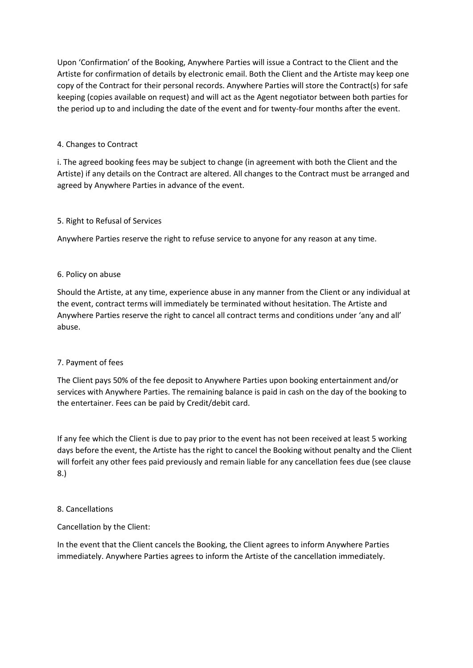Upon 'Confirmation' of the Booking, Anywhere Parties will issue a Contract to the Client and the Artiste for confirmation of details by electronic email. Both the Client and the Artiste may keep one copy of the Contract for their personal records. Anywhere Parties will store the Contract(s) for safe keeping (copies available on request) and will act as the Agent negotiator between both parties for the period up to and including the date of the event and for twenty-four months after the event.

## 4. Changes to Contract

i. The agreed booking fees may be subject to change (in agreement with both the Client and the Artiste) if any details on the Contract are altered. All changes to the Contract must be arranged and agreed by Anywhere Parties in advance of the event.

## 5. Right to Refusal of Services

Anywhere Parties reserve the right to refuse service to anyone for any reason at any time.

## 6. Policy on abuse

Should the Artiste, at any time, experience abuse in any manner from the Client or any individual at the event, contract terms will immediately be terminated without hesitation. The Artiste and Anywhere Parties reserve the right to cancel all contract terms and conditions under 'any and all' abuse.

# 7. Payment of fees

The Client pays 50% of the fee deposit to Anywhere Parties upon booking entertainment and/or services with Anywhere Parties. The remaining balance is paid in cash on the day of the booking to the entertainer. Fees can be paid by Credit/debit card.

If any fee which the Client is due to pay prior to the event has not been received at least 5 working days before the event, the Artiste has the right to cancel the Booking without penalty and the Client will forfeit any other fees paid previously and remain liable for any cancellation fees due (see clause 8.)

### 8. Cancellations

### Cancellation by the Client:

In the event that the Client cancels the Booking, the Client agrees to inform Anywhere Parties immediately. Anywhere Parties agrees to inform the Artiste of the cancellation immediately.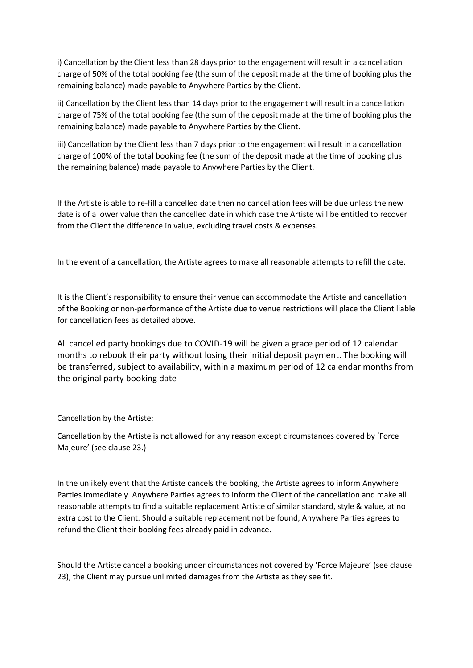i) Cancellation by the Client less than 28 days prior to the engagement will result in a cancellation charge of 50% of the total booking fee (the sum of the deposit made at the time of booking plus the remaining balance) made payable to Anywhere Parties by the Client.

ii) Cancellation by the Client less than 14 days prior to the engagement will result in a cancellation charge of 75% of the total booking fee (the sum of the deposit made at the time of booking plus the remaining balance) made payable to Anywhere Parties by the Client.

iii) Cancellation by the Client less than 7 days prior to the engagement will result in a cancellation charge of 100% of the total booking fee (the sum of the deposit made at the time of booking plus the remaining balance) made payable to Anywhere Parties by the Client.

If the Artiste is able to re-fill a cancelled date then no cancellation fees will be due unless the new date is of a lower value than the cancelled date in which case the Artiste will be entitled to recover from the Client the difference in value, excluding travel costs & expenses.

In the event of a cancellation, the Artiste agrees to make all reasonable attempts to refill the date.

It is the Client's responsibility to ensure their venue can accommodate the Artiste and cancellation of the Booking or non-performance of the Artiste due to venue restrictions will place the Client liable for cancellation fees as detailed above.

All cancelled party bookings due to COVID-19 will be given a grace period of 12 calendar months to rebook their party without losing their initial deposit payment. The booking will be transferred, subject to availability, within a maximum period of 12 calendar months from the original party booking date

Cancellation by the Artiste:

Cancellation by the Artiste is not allowed for any reason except circumstances covered by 'Force Majeure' (see clause 23.)

In the unlikely event that the Artiste cancels the booking, the Artiste agrees to inform Anywhere Parties immediately. Anywhere Parties agrees to inform the Client of the cancellation and make all reasonable attempts to find a suitable replacement Artiste of similar standard, style & value, at no extra cost to the Client. Should a suitable replacement not be found, Anywhere Parties agrees to refund the Client their booking fees already paid in advance.

Should the Artiste cancel a booking under circumstances not covered by 'Force Majeure' (see clause 23), the Client may pursue unlimited damages from the Artiste as they see fit.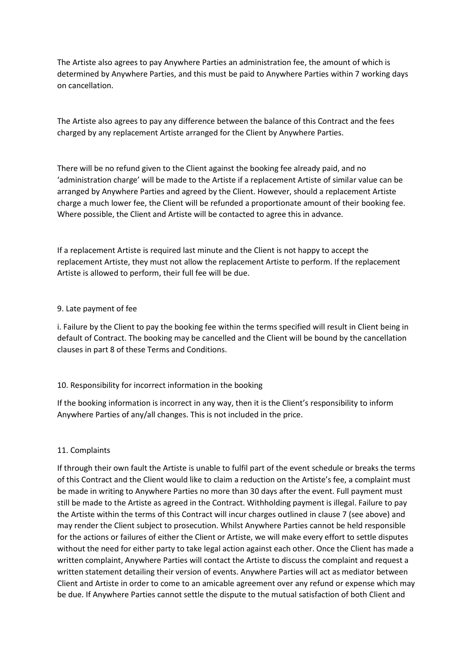The Artiste also agrees to pay Anywhere Parties an administration fee, the amount of which is determined by Anywhere Parties, and this must be paid to Anywhere Parties within 7 working days on cancellation.

The Artiste also agrees to pay any difference between the balance of this Contract and the fees charged by any replacement Artiste arranged for the Client by Anywhere Parties.

There will be no refund given to the Client against the booking fee already paid, and no 'administration charge' will be made to the Artiste if a replacement Artiste of similar value can be arranged by Anywhere Parties and agreed by the Client. However, should a replacement Artiste charge a much lower fee, the Client will be refunded a proportionate amount of their booking fee. Where possible, the Client and Artiste will be contacted to agree this in advance.

If a replacement Artiste is required last minute and the Client is not happy to accept the replacement Artiste, they must not allow the replacement Artiste to perform. If the replacement Artiste is allowed to perform, their full fee will be due.

### 9. Late payment of fee

i. Failure by the Client to pay the booking fee within the terms specified will result in Client being in default of Contract. The booking may be cancelled and the Client will be bound by the cancellation clauses in part 8 of these Terms and Conditions.

# 10. Responsibility for incorrect information in the booking

If the booking information is incorrect in any way, then it is the Client's responsibility to inform Anywhere Parties of any/all changes. This is not included in the price.

### 11. Complaints

If through their own fault the Artiste is unable to fulfil part of the event schedule or breaks the terms of this Contract and the Client would like to claim a reduction on the Artiste's fee, a complaint must be made in writing to Anywhere Parties no more than 30 days after the event. Full payment must still be made to the Artiste as agreed in the Contract. Withholding payment is illegal. Failure to pay the Artiste within the terms of this Contract will incur charges outlined in clause 7 (see above) and may render the Client subject to prosecution. Whilst Anywhere Parties cannot be held responsible for the actions or failures of either the Client or Artiste, we will make every effort to settle disputes without the need for either party to take legal action against each other. Once the Client has made a written complaint, Anywhere Parties will contact the Artiste to discuss the complaint and request a written statement detailing their version of events. Anywhere Parties will act as mediator between Client and Artiste in order to come to an amicable agreement over any refund or expense which may be due. If Anywhere Parties cannot settle the dispute to the mutual satisfaction of both Client and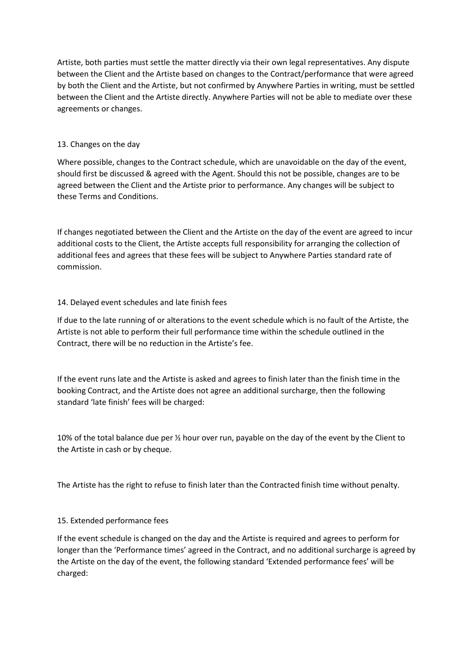Artiste, both parties must settle the matter directly via their own legal representatives. Any dispute between the Client and the Artiste based on changes to the Contract/performance that were agreed by both the Client and the Artiste, but not confirmed by Anywhere Parties in writing, must be settled between the Client and the Artiste directly. Anywhere Parties will not be able to mediate over these agreements or changes.

## 13. Changes on the day

Where possible, changes to the Contract schedule, which are unavoidable on the day of the event, should first be discussed & agreed with the Agent. Should this not be possible, changes are to be agreed between the Client and the Artiste prior to performance. Any changes will be subject to these Terms and Conditions.

If changes negotiated between the Client and the Artiste on the day of the event are agreed to incur additional costs to the Client, the Artiste accepts full responsibility for arranging the collection of additional fees and agrees that these fees will be subject to Anywhere Parties standard rate of commission.

## 14. Delayed event schedules and late finish fees

If due to the late running of or alterations to the event schedule which is no fault of the Artiste, the Artiste is not able to perform their full performance time within the schedule outlined in the Contract, there will be no reduction in the Artiste's fee.

If the event runs late and the Artiste is asked and agrees to finish later than the finish time in the booking Contract, and the Artiste does not agree an additional surcharge, then the following standard 'late finish' fees will be charged:

10% of the total balance due per  $\frac{1}{2}$  hour over run, payable on the day of the event by the Client to the Artiste in cash or by cheque.

The Artiste has the right to refuse to finish later than the Contracted finish time without penalty.

# 15. Extended performance fees

If the event schedule is changed on the day and the Artiste is required and agrees to perform for longer than the 'Performance times' agreed in the Contract, and no additional surcharge is agreed by the Artiste on the day of the event, the following standard 'Extended performance fees' will be charged: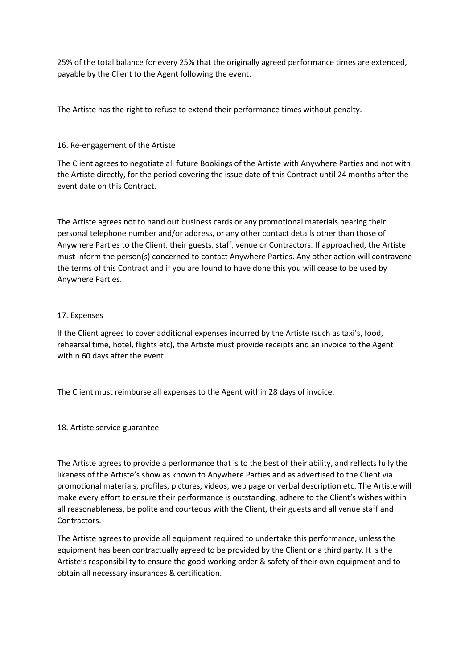25% of the total balance for every 25% that the originally agreed performance times are extended, payable by the Client to the Agent following the event.

The Artiste has the right to refuse to extend their performance times without penalty.

## 16. Re-engagement of the Artiste

The Client agrees to negotiate all future Bookings of the Artiste with Anywhere Parties and not with the Artiste directly, for the period covering the issue date of this Contract until 24 months after the event date on this Contract.

The Artiste agrees not to hand out business cards or any promotional materials bearing their personal telephone number and/or address, or any other contact details other than those of Anywhere Parties to the Client, their guests, staff, venue or Contractors. If approached, the Artiste must inform the person(s) concerned to contact Anywhere Parties. Any other action will contravene the terms of this Contract and if you are found to have done this you will cease to be used by Anywhere Parties.

## 17. Expenses

If the Client agrees to cover additional expenses incurred by the Artiste (such as taxi's, food, rehearsal time, hotel, flights etc), the Artiste must provide receipts and an invoice to the Agent within 60 days after the event.

The Client must reimburse all expenses to the Agent within 28 days of invoice.

18. Artiste service guarantee

The Artiste agrees to provide a performance that is to the best of their ability, and reflects fully the likeness of the Artiste's show as known to Anywhere Parties and as advertised to the Client via promotional materials, profiles, pictures, videos, web page or verbal description etc. The Artiste will make every effort to ensure their performance is outstanding, adhere to the Client's wishes within all reasonableness, be polite and courteous with the Client, their guests and all venue staff and Contractors.

The Artiste agrees to provide all equipment required to undertake this performance, unless the equipment has been contractually agreed to be provided by the Client or a third party. It is the Artiste's responsibility to ensure the good working order & safety of their own equipment and to obtain all necessary insurances & certification.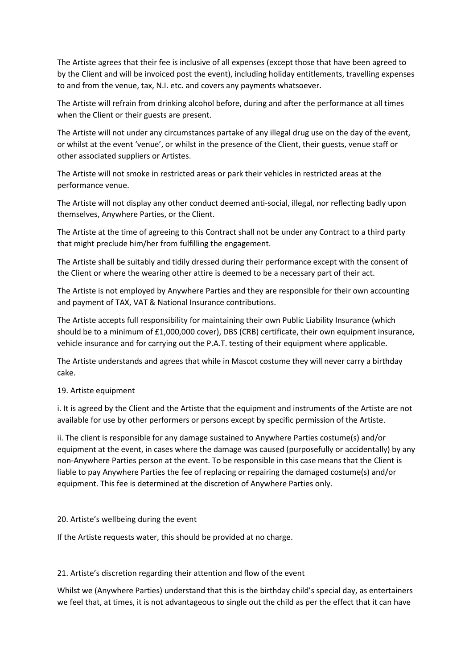The Artiste agrees that their fee is inclusive of all expenses (except those that have been agreed to by the Client and will be invoiced post the event), including holiday entitlements, travelling expenses to and from the venue, tax, N.I. etc. and covers any payments whatsoever.

The Artiste will refrain from drinking alcohol before, during and after the performance at all times when the Client or their guests are present.

The Artiste will not under any circumstances partake of any illegal drug use on the day of the event, or whilst at the event 'venue', or whilst in the presence of the Client, their guests, venue staff or other associated suppliers or Artistes.

The Artiste will not smoke in restricted areas or park their vehicles in restricted areas at the performance venue.

The Artiste will not display any other conduct deemed anti-social, illegal, nor reflecting badly upon themselves, Anywhere Parties, or the Client.

The Artiste at the time of agreeing to this Contract shall not be under any Contract to a third party that might preclude him/her from fulfilling the engagement.

The Artiste shall be suitably and tidily dressed during their performance except with the consent of the Client or where the wearing other attire is deemed to be a necessary part of their act.

The Artiste is not employed by Anywhere Parties and they are responsible for their own accounting and payment of TAX, VAT & National Insurance contributions.

The Artiste accepts full responsibility for maintaining their own Public Liability Insurance (which should be to a minimum of £1,000,000 cover), DBS (CRB) certificate, their own equipment insurance, vehicle insurance and for carrying out the P.A.T. testing of their equipment where applicable.

The Artiste understands and agrees that while in Mascot costume they will never carry a birthday cake.

### 19. Artiste equipment

i. It is agreed by the Client and the Artiste that the equipment and instruments of the Artiste are not available for use by other performers or persons except by specific permission of the Artiste.

ii. The client is responsible for any damage sustained to Anywhere Parties costume(s) and/or equipment at the event, in cases where the damage was caused (purposefully or accidentally) by any non-Anywhere Parties person at the event. To be responsible in this case means that the Client is liable to pay Anywhere Parties the fee of replacing or repairing the damaged costume(s) and/or equipment. This fee is determined at the discretion of Anywhere Parties only.

### 20. Artiste's wellbeing during the event

If the Artiste requests water, this should be provided at no charge.

### 21. Artiste's discretion regarding their attention and flow of the event

Whilst we (Anywhere Parties) understand that this is the birthday child's special day, as entertainers we feel that, at times, it is not advantageous to single out the child as per the effect that it can have